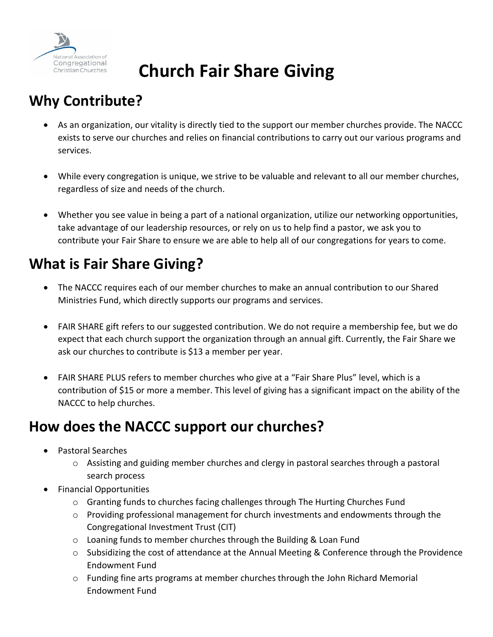

# **Church Fair Share Giving**

## **Why Contribute?**

- As an organization, our vitality is directly tied to the support our member churches provide. The NACCC exists to serve our churches and relies on financial contributions to carry out our various programs and services.
- While every congregation is unique, we strive to be valuable and relevant to all our member churches, regardless of size and needs of the church.
- Whether you see value in being a part of a national organization, utilize our networking opportunities, take advantage of our leadership resources, or rely on us to help find a pastor, we ask you to contribute your Fair Share to ensure we are able to help all of our congregations for years to come.

## **What is Fair Share Giving?**

- The NACCC requires each of our member churches to make an annual contribution to our Shared Ministries Fund, which directly supports our programs and services.
- FAIR SHARE gift refers to our suggested contribution. We do not require a membership fee, but we do expect that each church support the organization through an annual gift. Currently, the Fair Share we ask our churches to contribute is \$13 a member per year.
- FAIR SHARE PLUS refers to member churches who give at a "Fair Share Plus" level, which is a contribution of \$15 or more a member. This level of giving has a significant impact on the ability of the NACCC to help churches.

### **How does the NACCC support our churches?**

- Pastoral Searches
	- o Assisting and guiding member churches and clergy in pastoral searches through a pastoral search process
- Financial Opportunities
	- o Granting funds to churches facing challenges through The Hurting Churches Fund
	- $\circ$  Providing professional management for church investments and endowments through the Congregational Investment Trust (CIT)
	- o Loaning funds to member churches through the Building & Loan Fund
	- o Subsidizing the cost of attendance at the Annual Meeting & Conference through the Providence Endowment Fund
	- $\circ$  Funding fine arts programs at member churches through the John Richard Memorial Endowment Fund